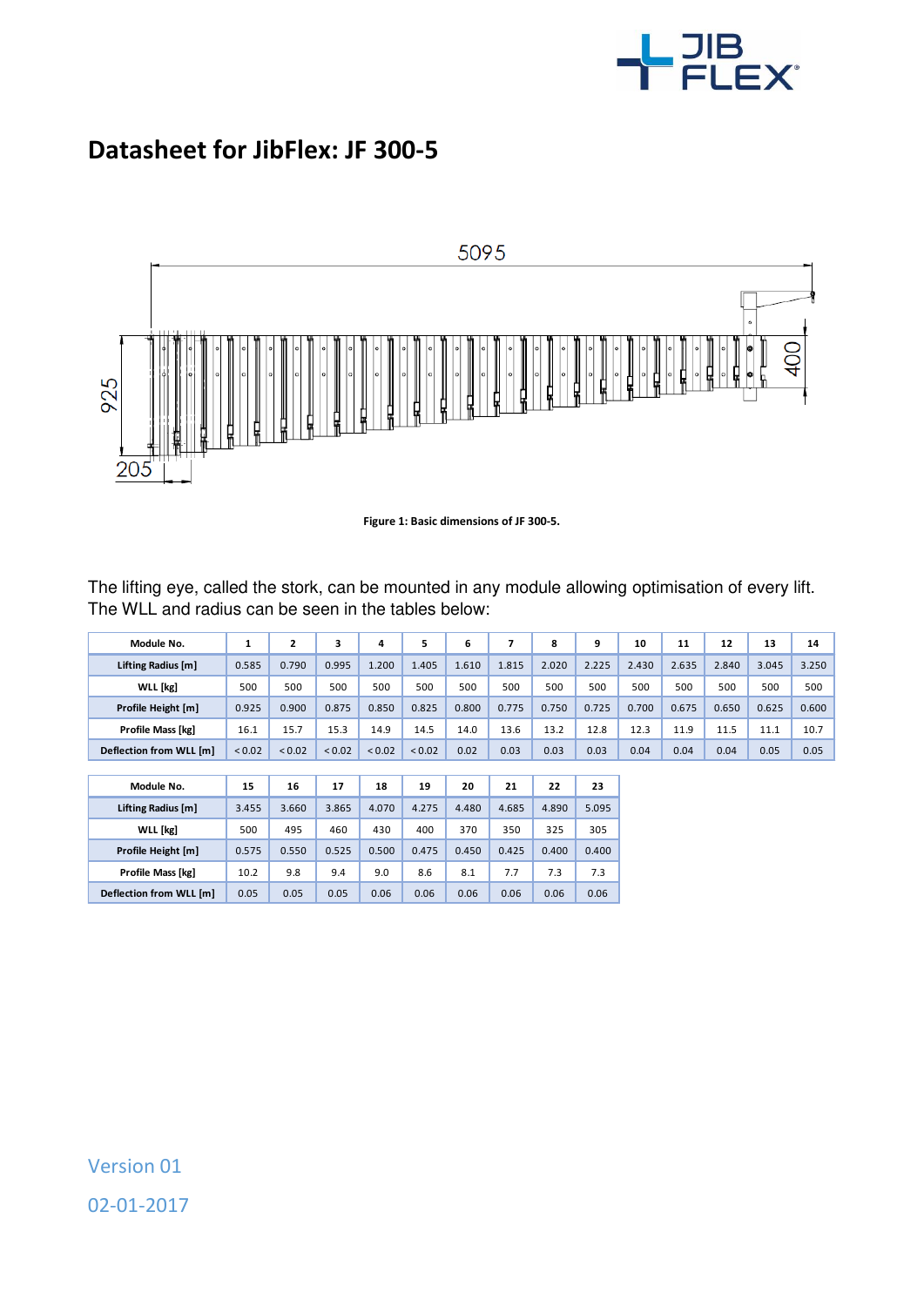

## **Datasheet for JibFlex: JF 300-5**



**Figure 1: Basic dimensions of JF 300-5.** 

The lifting eye, called the stork, can be mounted in any module allowing optimisation of every lift. The WLL and radius can be seen in the tables below:

| Module No.              | 1      | 2           | 3           | 4           | 5      | 6     | $\overline{ }$ | 8     | 9     | 10    | 11    | 12    | 13    | 14    |
|-------------------------|--------|-------------|-------------|-------------|--------|-------|----------------|-------|-------|-------|-------|-------|-------|-------|
| Lifting Radius [m]      | 0.585  | 0.790       | 0.995       | 1.200       | 1.405  | 1.610 | 1.815          | 2.020 | 2.225 | 2.430 | 2.635 | 2.840 | 3.045 | 3.250 |
| <b>WLL</b> [kg]         | 500    | 500         | 500         | 500         | 500    | 500   | 500            | 500   | 500   | 500   | 500   | 500   | 500   | 500   |
| Profile Height [m]      | 0.925  | 0.900       | 0.875       | 0.850       | 0.825  | 0.800 | 0.775          | 0.750 | 0.725 | 0.700 | 0.675 | 0.650 | 0.625 | 0.600 |
| Profile Mass [kg]       | 16.1   | 15.7        | 15.3        | 14.9        | 14.5   | 14.0  | 13.6           | 13.2  | 12.8  | 12.3  | 11.9  | 11.5  | 11.1  | 10.7  |
| Deflection from WLL [m] | < 0.02 | ${}_{0.02}$ | ${}_{0.02}$ | ${}_{0.02}$ | < 0.02 | 0.02  | 0.03           | 0.03  | 0.03  | 0.04  | 0.04  | 0.04  | 0.05  | 0.05  |
|                         |        |             |             |             |        |       |                |       |       |       |       |       |       |       |
| Module No.              | 15     | 16          | 17          | 18          | 19     | 20    | 21             | 22    | 23    |       |       |       |       |       |
| Lifting Radius [m]      | 3.455  | 3.660       | 3.865       | 4.070       | 4.275  | 4.480 | 4.685          | 4.890 | 5.095 |       |       |       |       |       |
| <b>WLL</b> [kg]         | 500    | 495         | 460         | 430         | 400    | 370   | 350            | 325   | 305   |       |       |       |       |       |
| Profile Height [m]      | 0.575  | 0.550       | 0.525       | 0.500       | 0.475  | 0.450 | 0.425          | 0.400 | 0.400 |       |       |       |       |       |
| Profile Mass [kg]       | 10.2   | 9.8         | 9.4         | 9.0         | 8.6    | 8.1   | 7.7            | 7.3   | 7.3   |       |       |       |       |       |
| Deflection from WLL [m] | 0.05   | 0.05        | 0.05        | 0.06        | 0.06   | 0.06  | 0.06           | 0.06  | 0.06  |       |       |       |       |       |